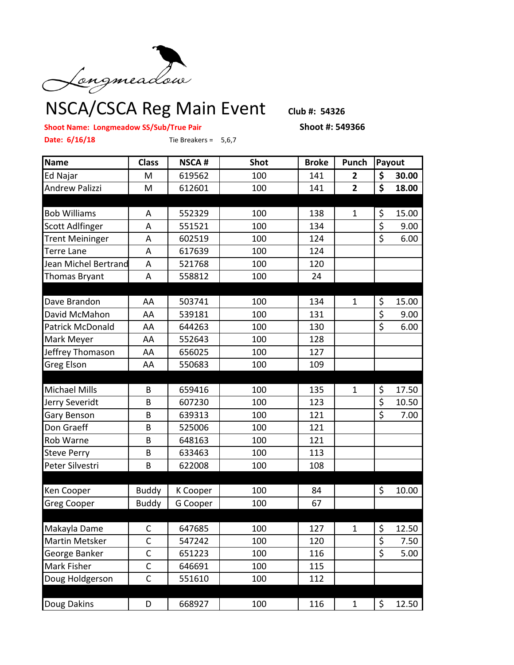

## **Shoot Name: Longmeadow SS/Sub/True Pair Shoot #: 549366**

**Date: 6/16/18** Tie Breakers = 5,6,7

**Name Class NSCA # Shot Broke Punch Payout** Ed Najar M 619562 100 141 **2 \$ 30.00** Andrew Palizzi M 612601 100 141 **2 \$ 18.00** Bob Williams | A | 552329 | 100 | 138 | 1 | \$ 15.00 Scott Adlfinger | A | 551521 | 100 | 134 | | \$ 9.00 Trent Meininger | A | 602519 | 100 | 124 | | \$ 6.00 Terre Lane 1 A 1 617639 1 100 1 124 Jean Michel Bertrand A | 521768 | 100 | 120 Thomas Bryant | A | 558812 | 100 | 24 Dave Brandon | AA | 503741 | 100 | 134 | 1 | S 15.00 David McMahon | AA | 539181 | 100 | 131 | | | \$ 9.00 Patrick McDonald | AA | 644263 | 100 | 130 | | \$ 6.00 Mark Meyer | AA | 552643 | 100 | 128 Jeffrey Thomason | AA | 656025 | 100 | 127 Greg Elson | AA | 550683 | 100 | 109 Michael Mills B 659416 100 135 1 \$ 17.50 Jerry Severidt B 607230 100 123 \$ 10.50 Gary Benson | B | 639313 | 100 | 121 | | \$ 7.00 Don Graeff 1 B 1 525006 1 100 1 121 Rob Warne B 648163 100 121 Steve Perry | B | 633463 | 100 | 113 Peter Silvestri B 622008 100 108 Ken Cooper Buddy K Cooper 100 84 \$ 10.00 Greg Cooper | Buddy | G Cooper | 100 | 67 Makayla Dame | C | 647685 | 100 | 127 | 1 | \$ 12.50 Martin Metsker C 547242 100 120 \$ 7.50 George Banker | C | 651223 | 100 | 116 | | S 5.00 Mark Fisher | C | 646691 | 100 | 115 Doug Holdgerson | C | 551610 | 100 | 112 Doug Dakins D 668927 100 116 1 \$ 12.50